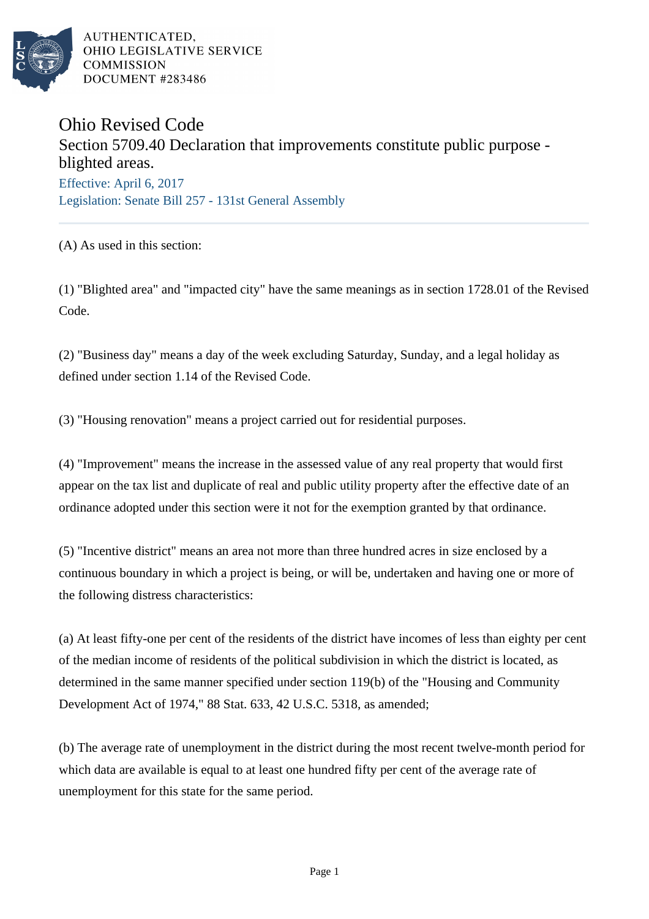

# Ohio Revised Code

Section 5709.40 Declaration that improvements constitute public purpose blighted areas. Effective: April 6, 2017 Legislation: Senate Bill 257 - 131st General Assembly

(A) As used in this section:

(1) "Blighted area" and "impacted city" have the same meanings as in section 1728.01 of the Revised Code.

(2) "Business day" means a day of the week excluding Saturday, Sunday, and a legal holiday as defined under section 1.14 of the Revised Code.

(3) "Housing renovation" means a project carried out for residential purposes.

(4) "Improvement" means the increase in the assessed value of any real property that would first appear on the tax list and duplicate of real and public utility property after the effective date of an ordinance adopted under this section were it not for the exemption granted by that ordinance.

(5) "Incentive district" means an area not more than three hundred acres in size enclosed by a continuous boundary in which a project is being, or will be, undertaken and having one or more of the following distress characteristics:

(a) At least fifty-one per cent of the residents of the district have incomes of less than eighty per cent of the median income of residents of the political subdivision in which the district is located, as determined in the same manner specified under section 119(b) of the "Housing and Community Development Act of 1974," 88 Stat. 633, 42 U.S.C. 5318, as amended;

(b) The average rate of unemployment in the district during the most recent twelve-month period for which data are available is equal to at least one hundred fifty per cent of the average rate of unemployment for this state for the same period.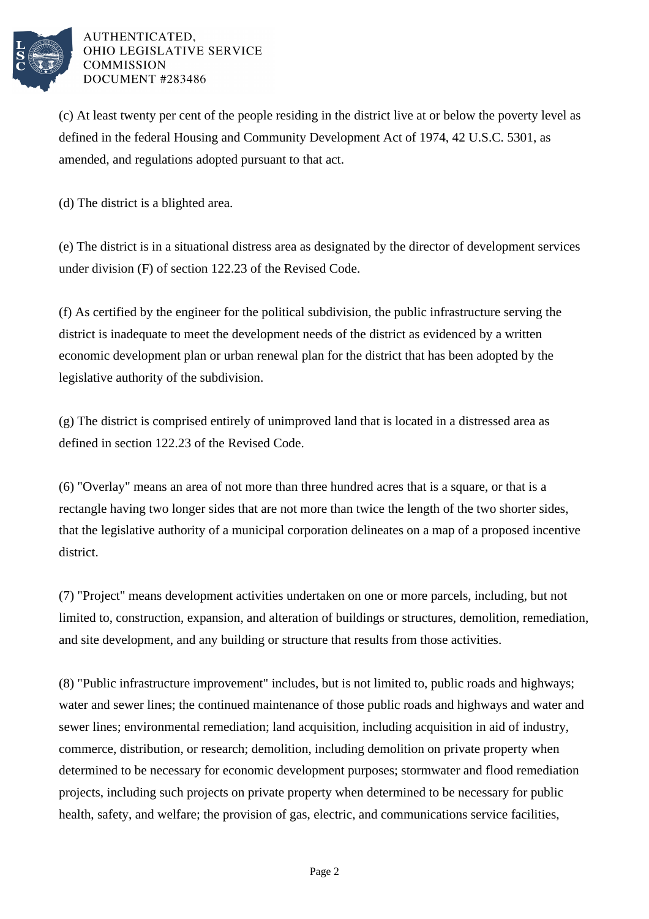

(c) At least twenty per cent of the people residing in the district live at or below the poverty level as defined in the federal Housing and Community Development Act of 1974, 42 U.S.C. 5301, as amended, and regulations adopted pursuant to that act.

(d) The district is a blighted area.

(e) The district is in a situational distress area as designated by the director of development services under division (F) of section 122.23 of the Revised Code.

(f) As certified by the engineer for the political subdivision, the public infrastructure serving the district is inadequate to meet the development needs of the district as evidenced by a written economic development plan or urban renewal plan for the district that has been adopted by the legislative authority of the subdivision.

(g) The district is comprised entirely of unimproved land that is located in a distressed area as defined in section 122.23 of the Revised Code.

(6) "Overlay" means an area of not more than three hundred acres that is a square, or that is a rectangle having two longer sides that are not more than twice the length of the two shorter sides, that the legislative authority of a municipal corporation delineates on a map of a proposed incentive district.

(7) "Project" means development activities undertaken on one or more parcels, including, but not limited to, construction, expansion, and alteration of buildings or structures, demolition, remediation, and site development, and any building or structure that results from those activities.

(8) "Public infrastructure improvement" includes, but is not limited to, public roads and highways; water and sewer lines; the continued maintenance of those public roads and highways and water and sewer lines; environmental remediation; land acquisition, including acquisition in aid of industry, commerce, distribution, or research; demolition, including demolition on private property when determined to be necessary for economic development purposes; stormwater and flood remediation projects, including such projects on private property when determined to be necessary for public health, safety, and welfare; the provision of gas, electric, and communications service facilities,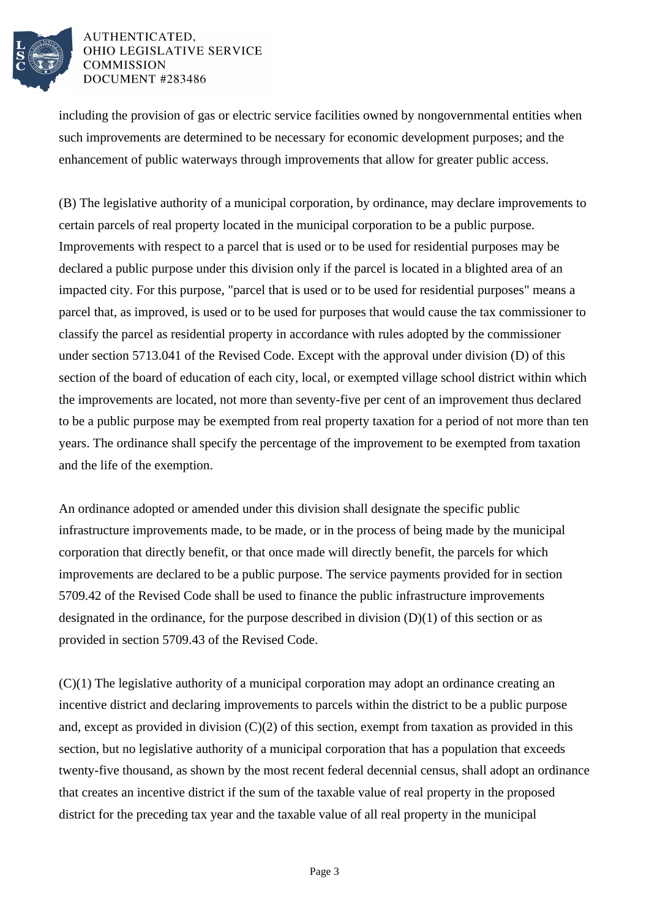

including the provision of gas or electric service facilities owned by nongovernmental entities when such improvements are determined to be necessary for economic development purposes; and the enhancement of public waterways through improvements that allow for greater public access.

(B) The legislative authority of a municipal corporation, by ordinance, may declare improvements to certain parcels of real property located in the municipal corporation to be a public purpose. Improvements with respect to a parcel that is used or to be used for residential purposes may be declared a public purpose under this division only if the parcel is located in a blighted area of an impacted city. For this purpose, "parcel that is used or to be used for residential purposes" means a parcel that, as improved, is used or to be used for purposes that would cause the tax commissioner to classify the parcel as residential property in accordance with rules adopted by the commissioner under section 5713.041 of the Revised Code. Except with the approval under division (D) of this section of the board of education of each city, local, or exempted village school district within which the improvements are located, not more than seventy-five per cent of an improvement thus declared to be a public purpose may be exempted from real property taxation for a period of not more than ten years. The ordinance shall specify the percentage of the improvement to be exempted from taxation and the life of the exemption.

An ordinance adopted or amended under this division shall designate the specific public infrastructure improvements made, to be made, or in the process of being made by the municipal corporation that directly benefit, or that once made will directly benefit, the parcels for which improvements are declared to be a public purpose. The service payments provided for in section 5709.42 of the Revised Code shall be used to finance the public infrastructure improvements designated in the ordinance, for the purpose described in division  $(D)(1)$  of this section or as provided in section 5709.43 of the Revised Code.

(C)(1) The legislative authority of a municipal corporation may adopt an ordinance creating an incentive district and declaring improvements to parcels within the district to be a public purpose and, except as provided in division  $(C)(2)$  of this section, exempt from taxation as provided in this section, but no legislative authority of a municipal corporation that has a population that exceeds twenty-five thousand, as shown by the most recent federal decennial census, shall adopt an ordinance that creates an incentive district if the sum of the taxable value of real property in the proposed district for the preceding tax year and the taxable value of all real property in the municipal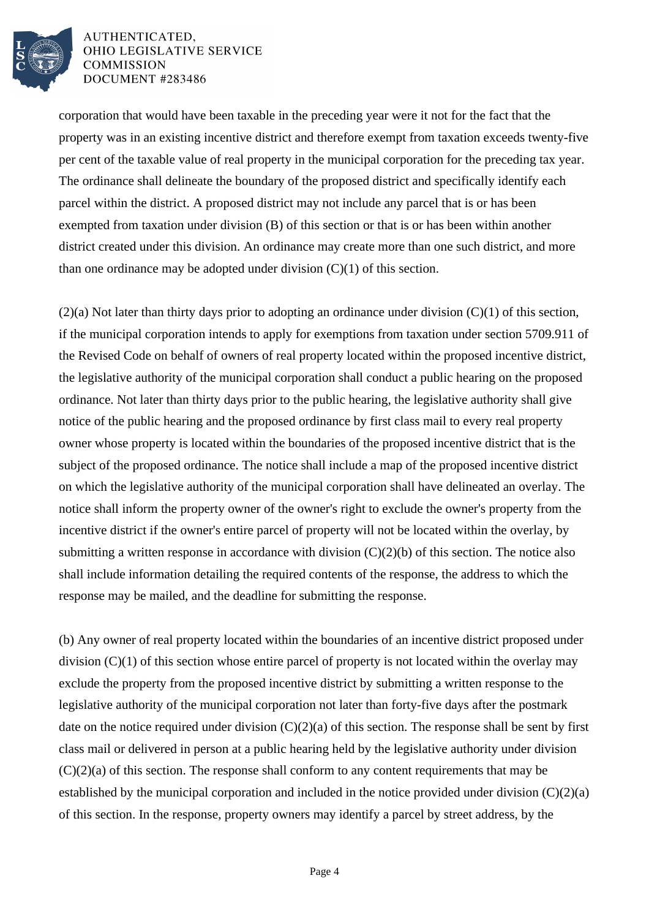

corporation that would have been taxable in the preceding year were it not for the fact that the property was in an existing incentive district and therefore exempt from taxation exceeds twenty-five per cent of the taxable value of real property in the municipal corporation for the preceding tax year. The ordinance shall delineate the boundary of the proposed district and specifically identify each parcel within the district. A proposed district may not include any parcel that is or has been exempted from taxation under division (B) of this section or that is or has been within another district created under this division. An ordinance may create more than one such district, and more than one ordinance may be adopted under division  $(C)(1)$  of this section.

(2)(a) Not later than thirty days prior to adopting an ordinance under division (C)(1) of this section, if the municipal corporation intends to apply for exemptions from taxation under section 5709.911 of the Revised Code on behalf of owners of real property located within the proposed incentive district, the legislative authority of the municipal corporation shall conduct a public hearing on the proposed ordinance. Not later than thirty days prior to the public hearing, the legislative authority shall give notice of the public hearing and the proposed ordinance by first class mail to every real property owner whose property is located within the boundaries of the proposed incentive district that is the subject of the proposed ordinance. The notice shall include a map of the proposed incentive district on which the legislative authority of the municipal corporation shall have delineated an overlay. The notice shall inform the property owner of the owner's right to exclude the owner's property from the incentive district if the owner's entire parcel of property will not be located within the overlay, by submitting a written response in accordance with division  $(C)(2)(b)$  of this section. The notice also shall include information detailing the required contents of the response, the address to which the response may be mailed, and the deadline for submitting the response.

(b) Any owner of real property located within the boundaries of an incentive district proposed under division (C)(1) of this section whose entire parcel of property is not located within the overlay may exclude the property from the proposed incentive district by submitting a written response to the legislative authority of the municipal corporation not later than forty-five days after the postmark date on the notice required under division  $(C)(2)(a)$  of this section. The response shall be sent by first class mail or delivered in person at a public hearing held by the legislative authority under division  $(C)(2)(a)$  of this section. The response shall conform to any content requirements that may be established by the municipal corporation and included in the notice provided under division (C)(2)(a) of this section. In the response, property owners may identify a parcel by street address, by the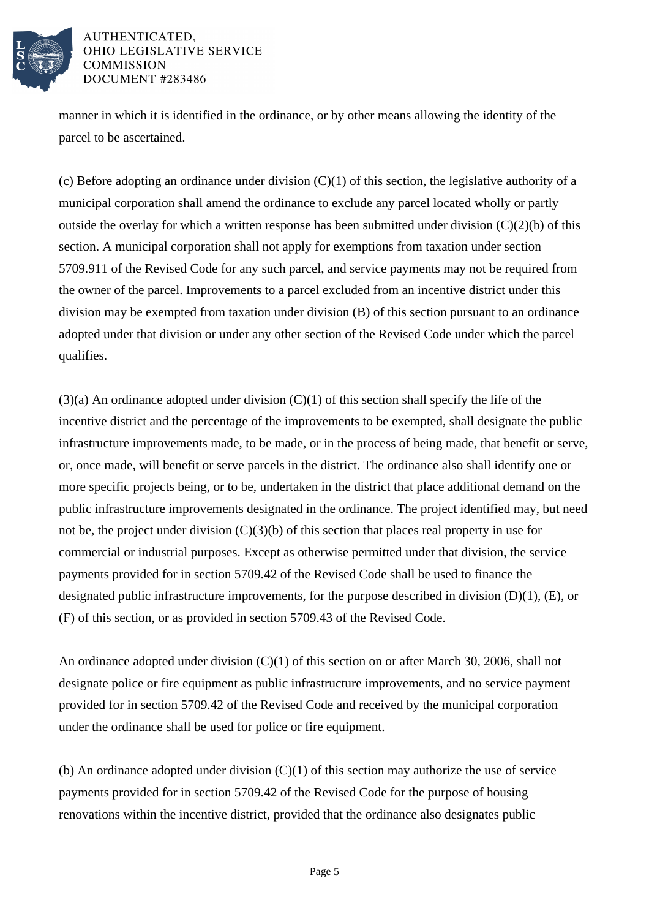

manner in which it is identified in the ordinance, or by other means allowing the identity of the parcel to be ascertained.

(c) Before adopting an ordinance under division  $(C)(1)$  of this section, the legislative authority of a municipal corporation shall amend the ordinance to exclude any parcel located wholly or partly outside the overlay for which a written response has been submitted under division  $(C)(2)(b)$  of this section. A municipal corporation shall not apply for exemptions from taxation under section 5709.911 of the Revised Code for any such parcel, and service payments may not be required from the owner of the parcel. Improvements to a parcel excluded from an incentive district under this division may be exempted from taxation under division (B) of this section pursuant to an ordinance adopted under that division or under any other section of the Revised Code under which the parcel qualifies.

 $(3)(a)$  An ordinance adopted under division  $(C)(1)$  of this section shall specify the life of the incentive district and the percentage of the improvements to be exempted, shall designate the public infrastructure improvements made, to be made, or in the process of being made, that benefit or serve, or, once made, will benefit or serve parcels in the district. The ordinance also shall identify one or more specific projects being, or to be, undertaken in the district that place additional demand on the public infrastructure improvements designated in the ordinance. The project identified may, but need not be, the project under division  $(C)(3)(b)$  of this section that places real property in use for commercial or industrial purposes. Except as otherwise permitted under that division, the service payments provided for in section 5709.42 of the Revised Code shall be used to finance the designated public infrastructure improvements, for the purpose described in division (D)(1), (E), or (F) of this section, or as provided in section 5709.43 of the Revised Code.

An ordinance adopted under division (C)(1) of this section on or after March 30, 2006, shall not designate police or fire equipment as public infrastructure improvements, and no service payment provided for in section 5709.42 of the Revised Code and received by the municipal corporation under the ordinance shall be used for police or fire equipment.

(b) An ordinance adopted under division (C)(1) of this section may authorize the use of service payments provided for in section 5709.42 of the Revised Code for the purpose of housing renovations within the incentive district, provided that the ordinance also designates public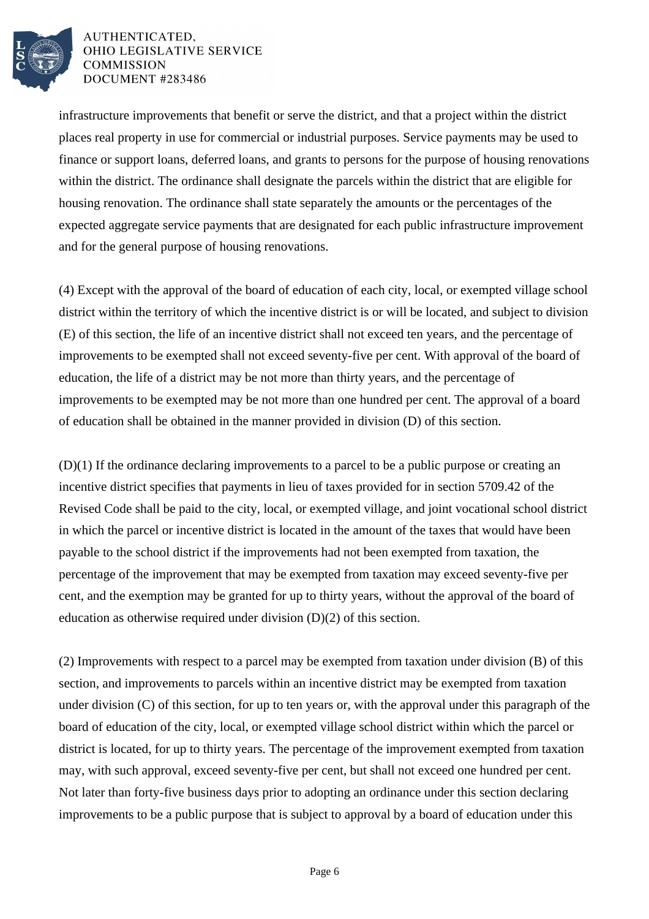

infrastructure improvements that benefit or serve the district, and that a project within the district places real property in use for commercial or industrial purposes. Service payments may be used to finance or support loans, deferred loans, and grants to persons for the purpose of housing renovations within the district. The ordinance shall designate the parcels within the district that are eligible for housing renovation. The ordinance shall state separately the amounts or the percentages of the expected aggregate service payments that are designated for each public infrastructure improvement and for the general purpose of housing renovations.

(4) Except with the approval of the board of education of each city, local, or exempted village school district within the territory of which the incentive district is or will be located, and subject to division (E) of this section, the life of an incentive district shall not exceed ten years, and the percentage of improvements to be exempted shall not exceed seventy-five per cent. With approval of the board of education, the life of a district may be not more than thirty years, and the percentage of improvements to be exempted may be not more than one hundred per cent. The approval of a board of education shall be obtained in the manner provided in division (D) of this section.

(D)(1) If the ordinance declaring improvements to a parcel to be a public purpose or creating an incentive district specifies that payments in lieu of taxes provided for in section 5709.42 of the Revised Code shall be paid to the city, local, or exempted village, and joint vocational school district in which the parcel or incentive district is located in the amount of the taxes that would have been payable to the school district if the improvements had not been exempted from taxation, the percentage of the improvement that may be exempted from taxation may exceed seventy-five per cent, and the exemption may be granted for up to thirty years, without the approval of the board of education as otherwise required under division (D)(2) of this section.

(2) Improvements with respect to a parcel may be exempted from taxation under division (B) of this section, and improvements to parcels within an incentive district may be exempted from taxation under division (C) of this section, for up to ten years or, with the approval under this paragraph of the board of education of the city, local, or exempted village school district within which the parcel or district is located, for up to thirty years. The percentage of the improvement exempted from taxation may, with such approval, exceed seventy-five per cent, but shall not exceed one hundred per cent. Not later than forty-five business days prior to adopting an ordinance under this section declaring improvements to be a public purpose that is subject to approval by a board of education under this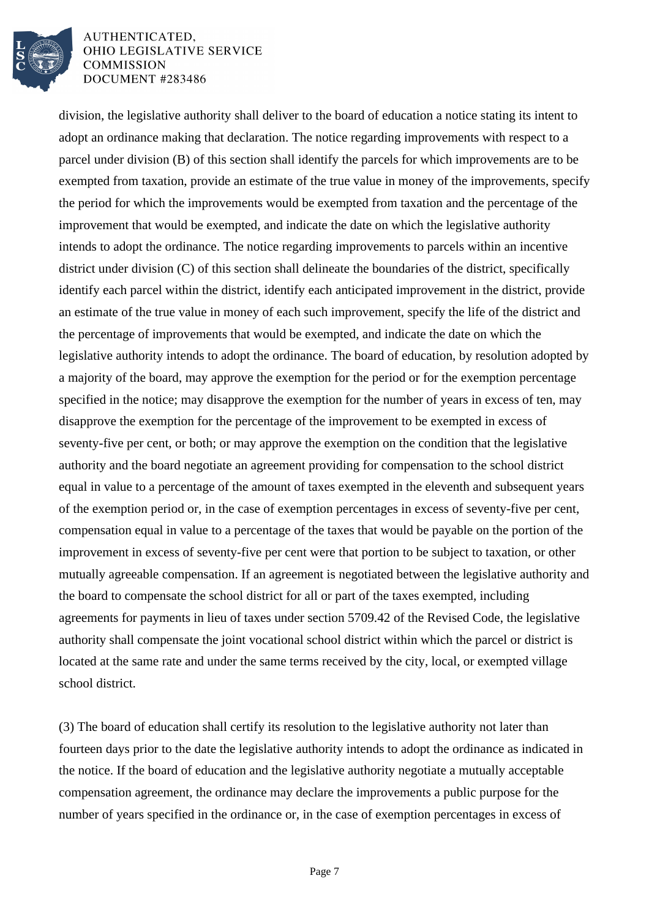

division, the legislative authority shall deliver to the board of education a notice stating its intent to adopt an ordinance making that declaration. The notice regarding improvements with respect to a parcel under division (B) of this section shall identify the parcels for which improvements are to be exempted from taxation, provide an estimate of the true value in money of the improvements, specify the period for which the improvements would be exempted from taxation and the percentage of the improvement that would be exempted, and indicate the date on which the legislative authority intends to adopt the ordinance. The notice regarding improvements to parcels within an incentive district under division (C) of this section shall delineate the boundaries of the district, specifically identify each parcel within the district, identify each anticipated improvement in the district, provide an estimate of the true value in money of each such improvement, specify the life of the district and the percentage of improvements that would be exempted, and indicate the date on which the legislative authority intends to adopt the ordinance. The board of education, by resolution adopted by a majority of the board, may approve the exemption for the period or for the exemption percentage specified in the notice; may disapprove the exemption for the number of years in excess of ten, may disapprove the exemption for the percentage of the improvement to be exempted in excess of seventy-five per cent, or both; or may approve the exemption on the condition that the legislative authority and the board negotiate an agreement providing for compensation to the school district equal in value to a percentage of the amount of taxes exempted in the eleventh and subsequent years of the exemption period or, in the case of exemption percentages in excess of seventy-five per cent, compensation equal in value to a percentage of the taxes that would be payable on the portion of the improvement in excess of seventy-five per cent were that portion to be subject to taxation, or other mutually agreeable compensation. If an agreement is negotiated between the legislative authority and the board to compensate the school district for all or part of the taxes exempted, including agreements for payments in lieu of taxes under section 5709.42 of the Revised Code, the legislative authority shall compensate the joint vocational school district within which the parcel or district is located at the same rate and under the same terms received by the city, local, or exempted village school district.

(3) The board of education shall certify its resolution to the legislative authority not later than fourteen days prior to the date the legislative authority intends to adopt the ordinance as indicated in the notice. If the board of education and the legislative authority negotiate a mutually acceptable compensation agreement, the ordinance may declare the improvements a public purpose for the number of years specified in the ordinance or, in the case of exemption percentages in excess of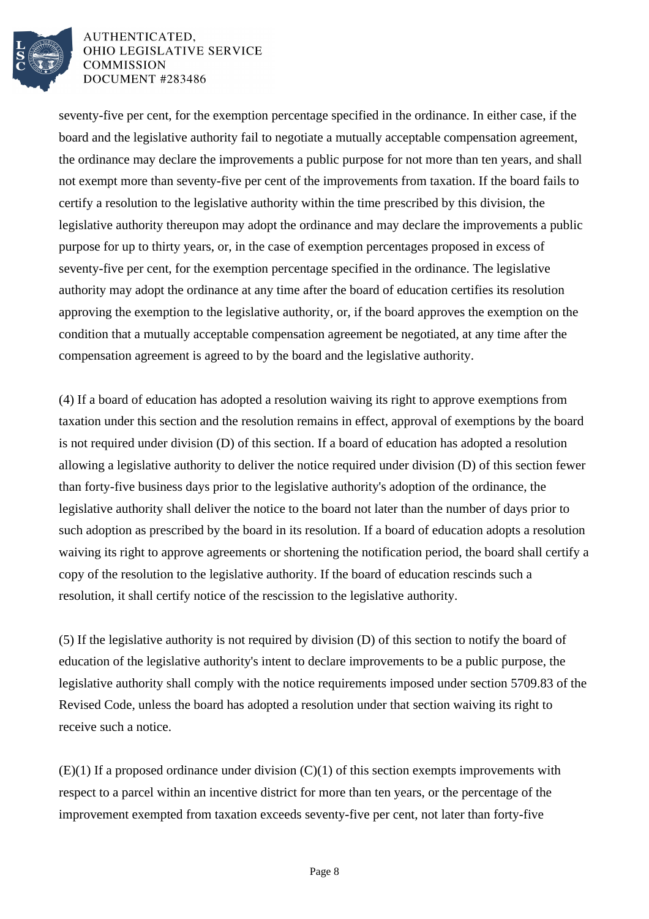

seventy-five per cent, for the exemption percentage specified in the ordinance. In either case, if the board and the legislative authority fail to negotiate a mutually acceptable compensation agreement, the ordinance may declare the improvements a public purpose for not more than ten years, and shall not exempt more than seventy-five per cent of the improvements from taxation. If the board fails to certify a resolution to the legislative authority within the time prescribed by this division, the legislative authority thereupon may adopt the ordinance and may declare the improvements a public purpose for up to thirty years, or, in the case of exemption percentages proposed in excess of seventy-five per cent, for the exemption percentage specified in the ordinance. The legislative authority may adopt the ordinance at any time after the board of education certifies its resolution approving the exemption to the legislative authority, or, if the board approves the exemption on the condition that a mutually acceptable compensation agreement be negotiated, at any time after the compensation agreement is agreed to by the board and the legislative authority.

(4) If a board of education has adopted a resolution waiving its right to approve exemptions from taxation under this section and the resolution remains in effect, approval of exemptions by the board is not required under division (D) of this section. If a board of education has adopted a resolution allowing a legislative authority to deliver the notice required under division (D) of this section fewer than forty-five business days prior to the legislative authority's adoption of the ordinance, the legislative authority shall deliver the notice to the board not later than the number of days prior to such adoption as prescribed by the board in its resolution. If a board of education adopts a resolution waiving its right to approve agreements or shortening the notification period, the board shall certify a copy of the resolution to the legislative authority. If the board of education rescinds such a resolution, it shall certify notice of the rescission to the legislative authority.

(5) If the legislative authority is not required by division (D) of this section to notify the board of education of the legislative authority's intent to declare improvements to be a public purpose, the legislative authority shall comply with the notice requirements imposed under section 5709.83 of the Revised Code, unless the board has adopted a resolution under that section waiving its right to receive such a notice.

 $(E)(1)$  If a proposed ordinance under division  $(C)(1)$  of this section exempts improvements with respect to a parcel within an incentive district for more than ten years, or the percentage of the improvement exempted from taxation exceeds seventy-five per cent, not later than forty-five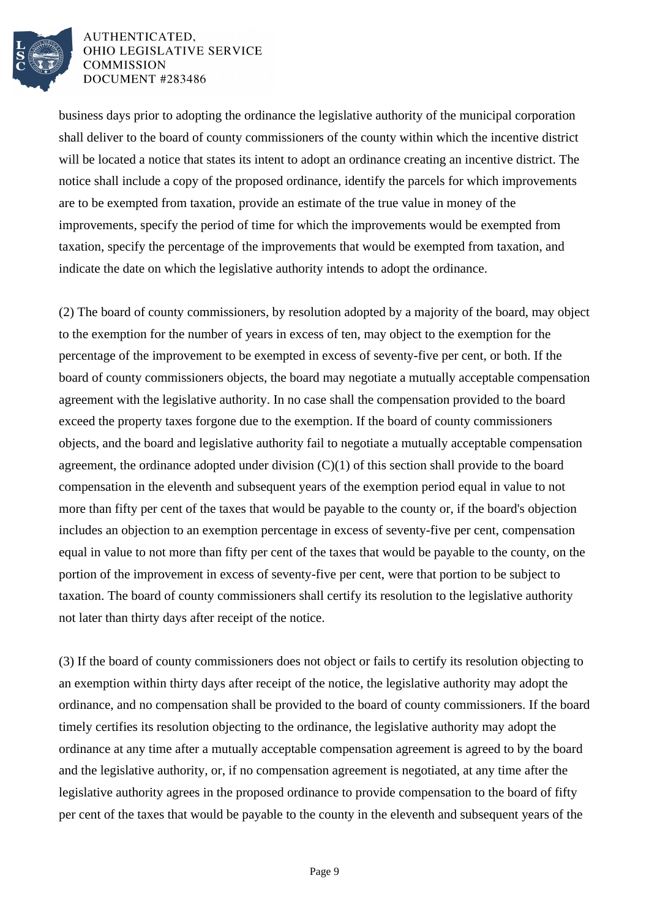

business days prior to adopting the ordinance the legislative authority of the municipal corporation shall deliver to the board of county commissioners of the county within which the incentive district will be located a notice that states its intent to adopt an ordinance creating an incentive district. The notice shall include a copy of the proposed ordinance, identify the parcels for which improvements are to be exempted from taxation, provide an estimate of the true value in money of the improvements, specify the period of time for which the improvements would be exempted from taxation, specify the percentage of the improvements that would be exempted from taxation, and indicate the date on which the legislative authority intends to adopt the ordinance.

(2) The board of county commissioners, by resolution adopted by a majority of the board, may object to the exemption for the number of years in excess of ten, may object to the exemption for the percentage of the improvement to be exempted in excess of seventy-five per cent, or both. If the board of county commissioners objects, the board may negotiate a mutually acceptable compensation agreement with the legislative authority. In no case shall the compensation provided to the board exceed the property taxes forgone due to the exemption. If the board of county commissioners objects, and the board and legislative authority fail to negotiate a mutually acceptable compensation agreement, the ordinance adopted under division (C)(1) of this section shall provide to the board compensation in the eleventh and subsequent years of the exemption period equal in value to not more than fifty per cent of the taxes that would be payable to the county or, if the board's objection includes an objection to an exemption percentage in excess of seventy-five per cent, compensation equal in value to not more than fifty per cent of the taxes that would be payable to the county, on the portion of the improvement in excess of seventy-five per cent, were that portion to be subject to taxation. The board of county commissioners shall certify its resolution to the legislative authority not later than thirty days after receipt of the notice.

(3) If the board of county commissioners does not object or fails to certify its resolution objecting to an exemption within thirty days after receipt of the notice, the legislative authority may adopt the ordinance, and no compensation shall be provided to the board of county commissioners. If the board timely certifies its resolution objecting to the ordinance, the legislative authority may adopt the ordinance at any time after a mutually acceptable compensation agreement is agreed to by the board and the legislative authority, or, if no compensation agreement is negotiated, at any time after the legislative authority agrees in the proposed ordinance to provide compensation to the board of fifty per cent of the taxes that would be payable to the county in the eleventh and subsequent years of the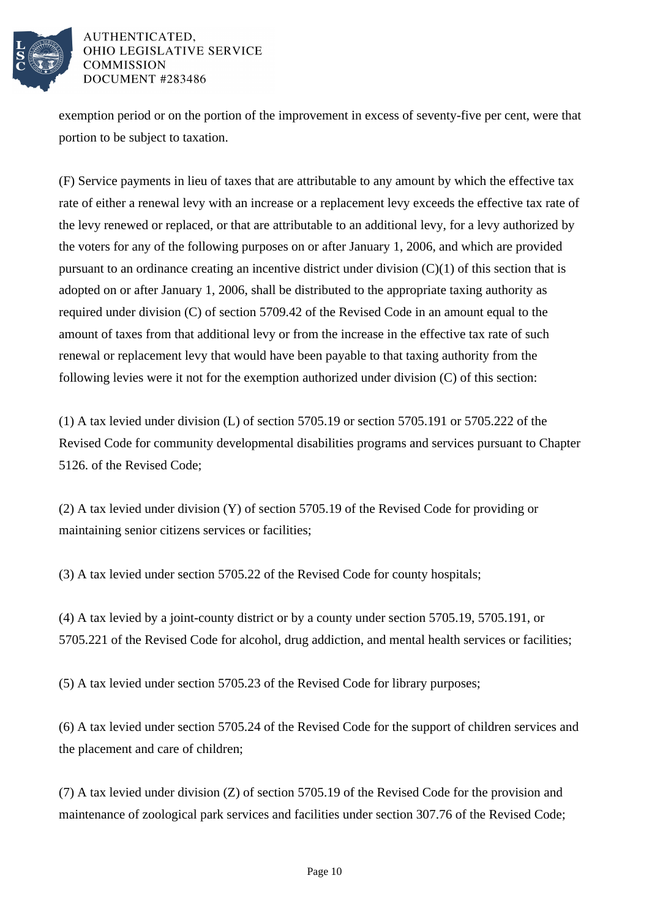

exemption period or on the portion of the improvement in excess of seventy-five per cent, were that portion to be subject to taxation.

(F) Service payments in lieu of taxes that are attributable to any amount by which the effective tax rate of either a renewal levy with an increase or a replacement levy exceeds the effective tax rate of the levy renewed or replaced, or that are attributable to an additional levy, for a levy authorized by the voters for any of the following purposes on or after January 1, 2006, and which are provided pursuant to an ordinance creating an incentive district under division (C)(1) of this section that is adopted on or after January 1, 2006, shall be distributed to the appropriate taxing authority as required under division (C) of section 5709.42 of the Revised Code in an amount equal to the amount of taxes from that additional levy or from the increase in the effective tax rate of such renewal or replacement levy that would have been payable to that taxing authority from the following levies were it not for the exemption authorized under division (C) of this section:

(1) A tax levied under division (L) of section 5705.19 or section 5705.191 or 5705.222 of the Revised Code for community developmental disabilities programs and services pursuant to Chapter 5126. of the Revised Code;

(2) A tax levied under division (Y) of section 5705.19 of the Revised Code for providing or maintaining senior citizens services or facilities;

(3) A tax levied under section 5705.22 of the Revised Code for county hospitals;

(4) A tax levied by a joint-county district or by a county under section 5705.19, 5705.191, or 5705.221 of the Revised Code for alcohol, drug addiction, and mental health services or facilities;

(5) A tax levied under section 5705.23 of the Revised Code for library purposes;

(6) A tax levied under section 5705.24 of the Revised Code for the support of children services and the placement and care of children;

(7) A tax levied under division (Z) of section 5705.19 of the Revised Code for the provision and maintenance of zoological park services and facilities under section 307.76 of the Revised Code;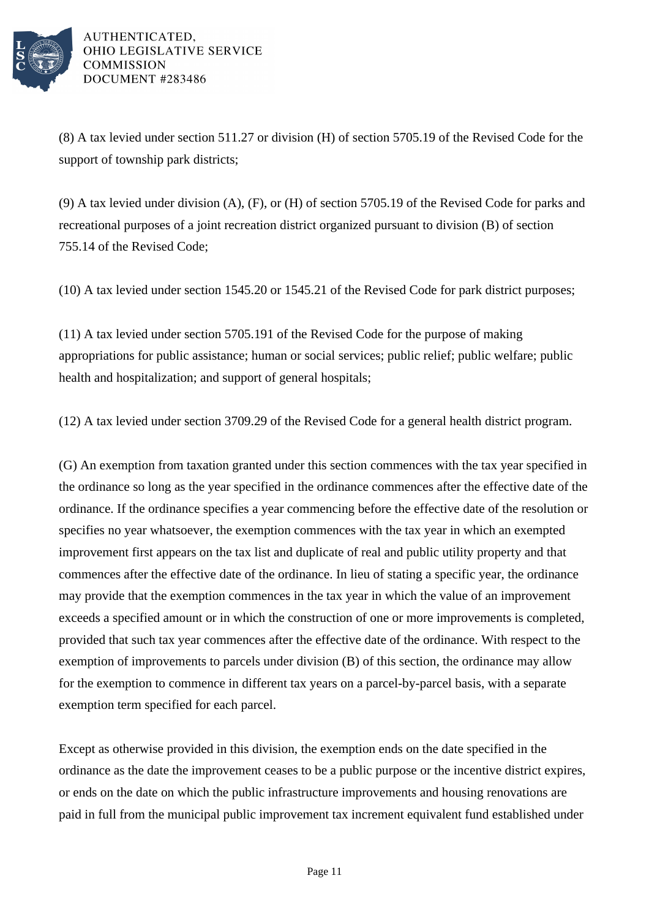

(8) A tax levied under section 511.27 or division (H) of section 5705.19 of the Revised Code for the support of township park districts;

(9) A tax levied under division (A), (F), or (H) of section 5705.19 of the Revised Code for parks and recreational purposes of a joint recreation district organized pursuant to division (B) of section 755.14 of the Revised Code;

(10) A tax levied under section 1545.20 or 1545.21 of the Revised Code for park district purposes;

(11) A tax levied under section 5705.191 of the Revised Code for the purpose of making appropriations for public assistance; human or social services; public relief; public welfare; public health and hospitalization; and support of general hospitals;

(12) A tax levied under section 3709.29 of the Revised Code for a general health district program.

(G) An exemption from taxation granted under this section commences with the tax year specified in the ordinance so long as the year specified in the ordinance commences after the effective date of the ordinance. If the ordinance specifies a year commencing before the effective date of the resolution or specifies no year whatsoever, the exemption commences with the tax year in which an exempted improvement first appears on the tax list and duplicate of real and public utility property and that commences after the effective date of the ordinance. In lieu of stating a specific year, the ordinance may provide that the exemption commences in the tax year in which the value of an improvement exceeds a specified amount or in which the construction of one or more improvements is completed, provided that such tax year commences after the effective date of the ordinance. With respect to the exemption of improvements to parcels under division (B) of this section, the ordinance may allow for the exemption to commence in different tax years on a parcel-by-parcel basis, with a separate exemption term specified for each parcel.

Except as otherwise provided in this division, the exemption ends on the date specified in the ordinance as the date the improvement ceases to be a public purpose or the incentive district expires, or ends on the date on which the public infrastructure improvements and housing renovations are paid in full from the municipal public improvement tax increment equivalent fund established under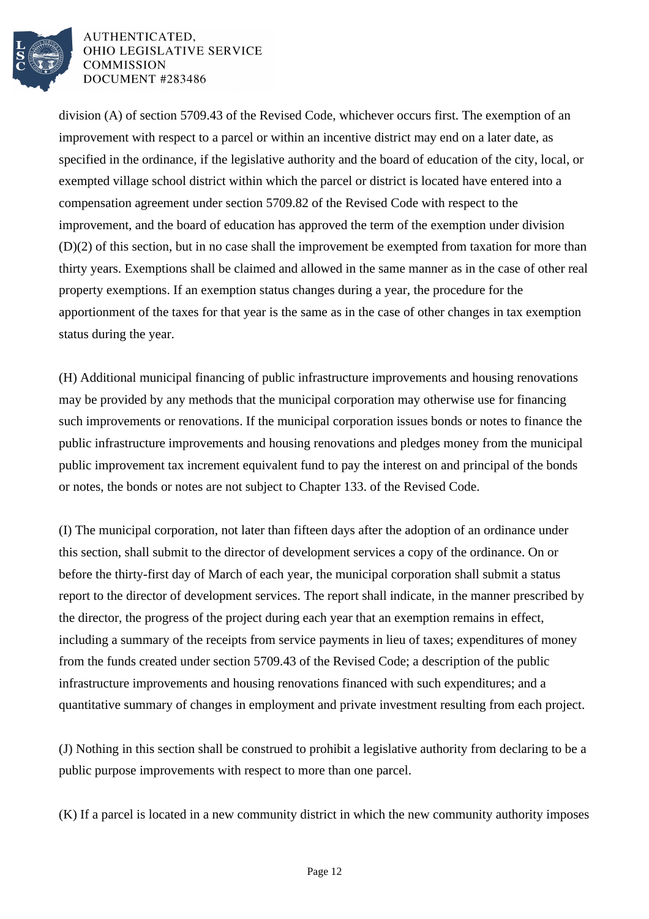

division (A) of section 5709.43 of the Revised Code, whichever occurs first. The exemption of an improvement with respect to a parcel or within an incentive district may end on a later date, as specified in the ordinance, if the legislative authority and the board of education of the city, local, or exempted village school district within which the parcel or district is located have entered into a compensation agreement under section 5709.82 of the Revised Code with respect to the improvement, and the board of education has approved the term of the exemption under division (D)(2) of this section, but in no case shall the improvement be exempted from taxation for more than thirty years. Exemptions shall be claimed and allowed in the same manner as in the case of other real property exemptions. If an exemption status changes during a year, the procedure for the apportionment of the taxes for that year is the same as in the case of other changes in tax exemption status during the year.

(H) Additional municipal financing of public infrastructure improvements and housing renovations may be provided by any methods that the municipal corporation may otherwise use for financing such improvements or renovations. If the municipal corporation issues bonds or notes to finance the public infrastructure improvements and housing renovations and pledges money from the municipal public improvement tax increment equivalent fund to pay the interest on and principal of the bonds or notes, the bonds or notes are not subject to Chapter 133. of the Revised Code.

(I) The municipal corporation, not later than fifteen days after the adoption of an ordinance under this section, shall submit to the director of development services a copy of the ordinance. On or before the thirty-first day of March of each year, the municipal corporation shall submit a status report to the director of development services. The report shall indicate, in the manner prescribed by the director, the progress of the project during each year that an exemption remains in effect, including a summary of the receipts from service payments in lieu of taxes; expenditures of money from the funds created under section 5709.43 of the Revised Code; a description of the public infrastructure improvements and housing renovations financed with such expenditures; and a quantitative summary of changes in employment and private investment resulting from each project.

(J) Nothing in this section shall be construed to prohibit a legislative authority from declaring to be a public purpose improvements with respect to more than one parcel.

(K) If a parcel is located in a new community district in which the new community authority imposes